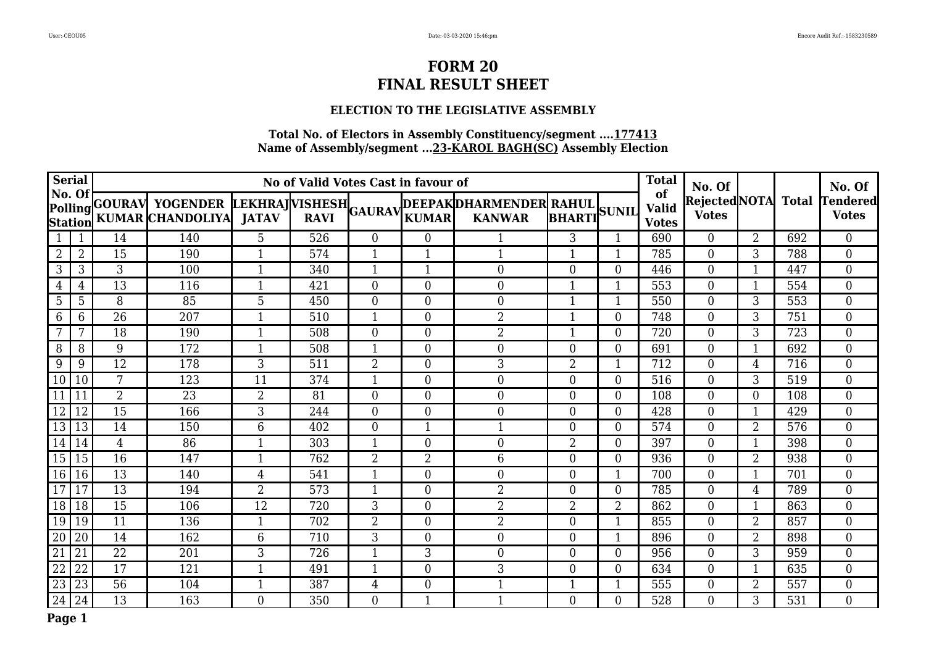### **ELECTION TO THE LEGISLATIVE ASSEMBLY**

|                 | Serial         |                 |                                                     |                | No of Valid Votes Cast in favour of |                  |                  |                                                                   |                     |                | <b>Total</b>                       | No. Of                        |                |              | No. Of                          |
|-----------------|----------------|-----------------|-----------------------------------------------------|----------------|-------------------------------------|------------------|------------------|-------------------------------------------------------------------|---------------------|----------------|------------------------------------|-------------------------------|----------------|--------------|---------------------------------|
| No. Of          |                |                 | Polling GOURAV YOGENDER<br>Station KUMAR CHANDOLIYA | <b>JATAV</b>   |                                     |                  |                  | LEKHRAJ VISHESH <br>  JATAV   RAVI  GAURAV  KUMAR  KANWAR  BHARTI | <b>BHARTI</b> SUNIL |                | of<br><b>Valid</b><br><b>Votes</b> | Rejected NOTA<br><b>Votes</b> |                | <b>Total</b> | <b>Tendered</b><br><b>Votes</b> |
|                 |                | 14              | 140                                                 | 5              | 526                                 | $\overline{0}$   | $\boldsymbol{0}$ |                                                                   | 3                   |                | 690                                | $\theta$                      | $\overline{2}$ | 692          | $\overline{0}$                  |
| 2               | $\overline{2}$ | 15              | 190                                                 |                | 574                                 | $\mathbf{1}$     | 1                | $\mathbf 1$                                                       |                     | 1              | 785                                | $\overline{0}$                | 3              | 788          | $\overline{0}$                  |
| 3               | 3              | 3               | 100                                                 |                | 340                                 | $\mathbf{1}$     | 1                | $\boldsymbol{0}$                                                  | $\overline{0}$      | $\Omega$       | 446                                | $\overline{0}$                |                | 447          | $\overline{0}$                  |
| 4               | 4              | $\overline{13}$ | 116                                                 | 1              | 421                                 | $\theta$         | $\boldsymbol{0}$ | $\boldsymbol{0}$                                                  | 1                   | $\mathbf 1$    | 553                                | $\overline{0}$                |                | 554          | $\boldsymbol{0}$                |
| 5               | 5              | 8               | 85                                                  | 5              | 450                                 | $\boldsymbol{0}$ | $\boldsymbol{0}$ | $\boldsymbol{0}$                                                  | 1                   | 1              | 550                                | $\mathbf{0}$                  | 3              | 553          | $\overline{0}$                  |
| 6               | 6              | 26              | 207                                                 |                | 510                                 | 1                | $\boldsymbol{0}$ | $\overline{2}$                                                    |                     | $\Omega$       | 748                                | 0                             | 3              | 751          | $\boldsymbol{0}$                |
| 7               | 7              | 18              | 190                                                 |                | 508                                 | $\overline{0}$   | $\boldsymbol{0}$ | $\overline{2}$                                                    |                     | $\overline{0}$ | 720                                | $\overline{0}$                | 3              | 723          | $\boldsymbol{0}$                |
| 8               | 8              | 9               | 172                                                 |                | 508                                 | 1                | $\boldsymbol{0}$ | $\boldsymbol{0}$                                                  | $\overline{0}$      | $\overline{0}$ | 691                                | $\boldsymbol{0}$              |                | 692          | $\overline{0}$                  |
| 9               | 9              | 12              | 178                                                 | 3              | 511                                 | $\overline{2}$   | $\boldsymbol{0}$ | 3                                                                 | $\overline{2}$      | 1              | 712                                | $\overline{0}$                | 4              | 716          | $\overline{0}$                  |
| 10              | 10             | 7               | 123                                                 | 11             | 374                                 | $\mathbf{1}$     | $\boldsymbol{0}$ | $\boldsymbol{0}$                                                  | $\boldsymbol{0}$    | $\overline{0}$ | 516                                | $\overline{0}$                | 3              | 519          | $\boldsymbol{0}$                |
| 11              | 11             | $\overline{2}$  | 23                                                  | $\overline{2}$ | 81                                  | $\overline{0}$   | $\boldsymbol{0}$ | $\overline{0}$                                                    | $\overline{0}$      | $\Omega$       | 108                                | $\overline{0}$                | $\Omega$       | 108          | $\overline{0}$                  |
| 12              | 12             | 15              | 166                                                 | 3              | 244                                 | $\overline{0}$   | $\boldsymbol{0}$ | $\boldsymbol{0}$                                                  | $\overline{0}$      | $\Omega$       | 428                                | $\boldsymbol{0}$              |                | 429          | $\boldsymbol{0}$                |
| 13              | 13             | 14              | 150                                                 | 6              | 402                                 | $\overline{0}$   | $\mathbf{1}$     | $\mathbf{1}$                                                      | $\overline{0}$      | $\overline{0}$ | 574                                | $\overline{0}$                | $\overline{2}$ | 576          | $\boldsymbol{0}$                |
| 14              | 14             | $\overline{4}$  | 86                                                  | 1              | 303                                 | $\mathbf{1}$     | $\boldsymbol{0}$ | $\boldsymbol{0}$                                                  | 2                   | $\overline{0}$ | 397                                | $\mathbf{0}$                  | $\mathbf 1$    | 398          | $\overline{0}$                  |
| $\overline{15}$ | 15             | 16              | 147                                                 |                | 762                                 | $\overline{2}$   | 2                | 6                                                                 | $\overline{0}$      | $\Omega$       | 936                                | 0                             | $\overline{2}$ | 938          | $\overline{0}$                  |
| 16              | 16             | 13              | 140                                                 | 4              | 541                                 | $\mathbf{1}$     | $\boldsymbol{0}$ | $\boldsymbol{0}$                                                  | $\overline{0}$      |                | 700                                | $\overline{0}$                |                | 701          | $\boldsymbol{0}$                |
| 17              | 17             | 13              | 194                                                 | 2              | 573                                 | $\mathbf{1}$     | $\boldsymbol{0}$ | $\overline{2}$                                                    | $\overline{0}$      | $\overline{0}$ | 785                                | $\overline{0}$                | $\overline{4}$ | 789          | $\overline{0}$                  |
| 18              | 18             | 15              | 106                                                 | 12             | 720                                 | 3                | $\boldsymbol{0}$ | $\overline{2}$                                                    | 2                   | $\overline{2}$ | 862                                | 0                             |                | 863          | $\overline{0}$                  |
| <sup>19</sup>   | 19             | 11              | 136                                                 |                | 702                                 | $\overline{2}$   | $\boldsymbol{0}$ | $\overline{2}$                                                    | $\boldsymbol{0}$    | $\mathbf{1}$   | 855                                | $\overline{0}$                | $\overline{2}$ | 857          | $\boldsymbol{0}$                |
| $\boxed{20}$    | 20             | 14              | 162                                                 | 6              | 710                                 | 3                | $\overline{0}$   | $\overline{0}$                                                    | $\theta$            | $\mathbf{1}$   | 896                                | $\theta$                      | $\overline{2}$ | 898          | $\overline{0}$                  |
| $\overline{21}$ | 21             | 22              | 201                                                 | 3              | 726                                 | 1                | 3                | $\mathbf{0}$                                                      | $\overline{0}$      | $\Omega$       | 956                                | $\overline{0}$                | 3              | 959          | $\overline{0}$                  |
| $\overline{22}$ | 22             | 17              | 121                                                 |                | 491                                 | 1                | $\boldsymbol{0}$ | 3                                                                 | $\boldsymbol{0}$    | $\overline{0}$ | 634                                | $\boldsymbol{0}$              |                | 635          | $\boldsymbol{0}$                |
| 23              | 23             | 56              | 104                                                 | 1              | 387                                 | $\overline{4}$   | $\boldsymbol{0}$ | $\mathbf{1}$                                                      | 1                   | $\mathbf{1}$   | 555                                | $\overline{0}$                | $\overline{2}$ | 557          | $\overline{0}$                  |
| 24 24           |                | 13              | 163                                                 | 0              | 350                                 | $\overline{0}$   | 1                |                                                                   | $\theta$            | $\Omega$       | 528                                | 0                             | 3              | 531          | $\overline{0}$                  |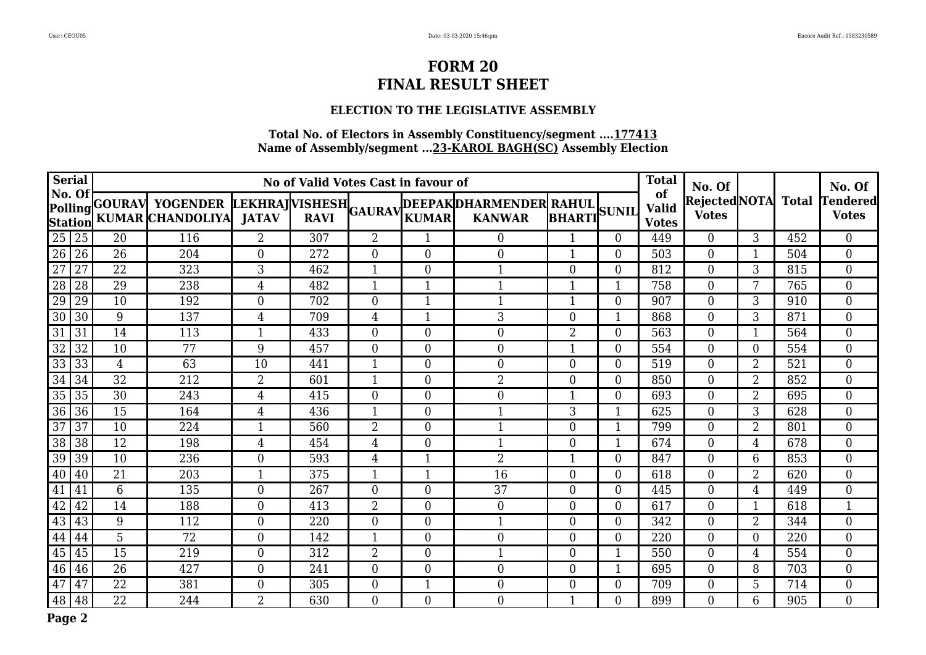#### **ELECTION TO THE LEGISLATIVE ASSEMBLY**

| <b>Serial</b>   |    |                |                                                                            | No of Valid Votes Cast in favour of |             | <b>Total</b><br>of | No. Of           |                                                                           |                | No. Of         |                              |                                     |                |     |                                 |
|-----------------|----|----------------|----------------------------------------------------------------------------|-------------------------------------|-------------|--------------------|------------------|---------------------------------------------------------------------------|----------------|----------------|------------------------------|-------------------------------------|----------------|-----|---------------------------------|
| No. Of          |    |                | Polling GOURAV YOGENDER LEKHRAJ VISHESH GAURAV<br>Station KUMAR CHANDOLIYA | <b>JATAV</b>                        | <b>RAVI</b> |                    |                  | <b> DEEPAKDHARMENDER  RAHUL   </b><br>  KUMAR    KANWAR    BHARTI   SUNIL |                |                | <b>Valid</b><br><b>Votes</b> | Rejected NOTA Total<br><b>Votes</b> |                |     | <b>Tendered</b><br><b>Votes</b> |
| 25              | 25 | 20             | 116                                                                        | $\overline{2}$                      | 307         | $\overline{2}$     |                  | $\overline{0}$                                                            |                | $\theta$       | 449                          | $\theta$                            | 3              | 452 | $\overline{0}$                  |
| 26              | 26 | 26             | 204                                                                        | $\overline{0}$                      | 272         | $\overline{0}$     | $\overline{0}$   | $\boldsymbol{0}$                                                          |                | $\overline{0}$ | 503                          | $\boldsymbol{0}$                    | 1              | 504 | $\boldsymbol{0}$                |
| 27              | 27 | 22             | 323                                                                        | 3                                   | 462         | 1                  | $\Omega$         | $\mathbf{1}$                                                              | 0              | $\overline{0}$ | 812                          | $\overline{0}$                      | 3              | 815 | $\boldsymbol{0}$                |
| 28              | 28 | 29             | 238                                                                        | 4                                   | 482         | $\mathbf{1}$       | 1                | $\mathbf{1}$                                                              |                | $\mathbf{1}$   | 758                          | $\overline{0}$                      | 7              | 765 | $\boldsymbol{0}$                |
| 29              | 29 | 10             | 192                                                                        | $\overline{0}$                      | 702         | $\overline{0}$     | 1                | $\mathbf{1}$                                                              |                | $\overline{0}$ | 907                          | $\overline{0}$                      | 3              | 910 | $\boldsymbol{0}$                |
| 30              | 30 | 9              | 137                                                                        | 4                                   | 709         | 4                  |                  | 3                                                                         | $\Omega$       | 1              | 868                          | $\overline{0}$                      | 3              | 871 | $\boldsymbol{0}$                |
| 31              | 31 | 14             | 113                                                                        | 1                                   | 433         | $\overline{0}$     | $\boldsymbol{0}$ | $\boldsymbol{0}$                                                          | $\overline{2}$ | $\overline{0}$ | 563                          | $\overline{0}$                      | $\mathbf{1}$   | 564 | $\boldsymbol{0}$                |
| 32              | 32 | 10             | 77                                                                         | 9                                   | 457         | $\overline{0}$     | $\overline{0}$   | $\overline{0}$                                                            |                | $\overline{0}$ | 554                          | $\overline{0}$                      | $\overline{0}$ | 554 | $\boldsymbol{0}$                |
| 33              | 33 | $\overline{4}$ | 63                                                                         | 10                                  | 441         | $\mathbf{1}$       | $\overline{0}$   | $\overline{0}$                                                            | $\Omega$       | $\theta$       | 519                          | $\overline{0}$                      | $\overline{2}$ | 521 | $\boldsymbol{0}$                |
| 34              | 34 | 32             | 212                                                                        | 2                                   | 601         | $\mathbf{1}$       | $\boldsymbol{0}$ | $\overline{2}$                                                            | $\theta$       | $\overline{0}$ | 850                          | $\theta$                            | $\overline{2}$ | 852 | $\boldsymbol{0}$                |
| 35              | 35 | 30             | 243                                                                        | 4                                   | 415         | $\overline{0}$     | $\overline{0}$   | $\boldsymbol{0}$                                                          |                | $\overline{0}$ | 693                          | $\overline{0}$                      | $\overline{2}$ | 695 | $\boldsymbol{0}$                |
| 36              | 36 | 15             | 164                                                                        | 4                                   | 436         | 1                  | $\overline{0}$   | 1                                                                         | 3              | 1              | 625                          | $\overline{0}$                      | 3              | 628 | $\boldsymbol{0}$                |
| $\overline{37}$ | 37 | 10             | 224                                                                        | 1                                   | 560         | $\overline{2}$     | $\boldsymbol{0}$ | $\mathbf{1}$                                                              | $\overline{0}$ | $\mathbf{1}$   | 799                          | $\overline{0}$                      | $\overline{2}$ | 801 | $\boldsymbol{0}$                |
| 38              | 38 | 12             | 198                                                                        | 4                                   | 454         | 4                  | $\overline{0}$   | 1                                                                         | $\overline{0}$ | 1              | 674                          | $\overline{0}$                      | 4              | 678 | $\boldsymbol{0}$                |
| 39              | 39 | 10             | 236                                                                        | $\Omega$                            | 593         | $\overline{4}$     |                  | $\overline{2}$                                                            |                | $\Omega$       | 847                          | $\overline{0}$                      | 6              | 853 | $\boldsymbol{0}$                |
| 40              | 40 | 21             | 203                                                                        | 1                                   | 375         | $\mathbf{1}$       | 1                | 16                                                                        | $\theta$       | $\overline{0}$ | 618                          | $\theta$                            | $\overline{2}$ | 620 | $\boldsymbol{0}$                |
| 41              | 41 | $6\,$          | 135                                                                        | $\overline{0}$                      | 267         | $\overline{0}$     | $\overline{0}$   | 37                                                                        | $\overline{0}$ | $\overline{0}$ | 445                          | $\boldsymbol{0}$                    | 4              | 449 | $\boldsymbol{0}$                |
| 42              | 42 | 14             | 188                                                                        | $\Omega$                            | 413         | $\overline{2}$     | $\overline{0}$   | $\overline{0}$                                                            | $\Omega$       | $\Omega$       | 617                          | $\overline{0}$                      | 1              | 618 | $\mathbf{1}$                    |
| 43              | 43 | 9              | 112                                                                        | $\overline{0}$                      | 220         | $\overline{0}$     | $\boldsymbol{0}$ | $\mathbf{1}$                                                              | $\overline{0}$ | $\overline{0}$ | 342                          | $\overline{0}$                      | $\overline{2}$ | 344 | $\boldsymbol{0}$                |
| 44              | 44 | $\overline{5}$ | 72                                                                         | $\overline{0}$                      | 142         | 1                  | $\overline{0}$   | $\overline{0}$                                                            | $\overline{0}$ | $\overline{0}$ | 220                          | $\overline{0}$                      | 0              | 220 | $\boldsymbol{0}$                |
| 45              | 45 | 15             | 219                                                                        | $\overline{0}$                      | 312         | $\overline{2}$     | $\overline{0}$   | 1                                                                         | $\Omega$       | 1              | 550                          | $\boldsymbol{0}$                    | 4              | 554 | $\boldsymbol{0}$                |
| 46              | 46 | 26             | 427                                                                        | $\overline{0}$                      | 241         | $\overline{0}$     | $\boldsymbol{0}$ | $\mathbf{0}$                                                              | $\theta$       |                | 695                          | $\theta$                            | 8              | 703 | $\boldsymbol{0}$                |
| 47              | 47 | 22             | 381                                                                        | $\overline{0}$                      | 305         | $\overline{0}$     | 1                | $\overline{0}$                                                            | $\overline{0}$ | $\overline{0}$ | 709                          | $\boldsymbol{0}$                    | 5              | 714 | $\boldsymbol{0}$                |
| 48              | 48 | 22             | 244                                                                        | 2                                   | 630         | $\Omega$           | $\overline{0}$   | $\overline{0}$                                                            |                | $\Omega$       | 899                          | $\overline{0}$                      | 6              | 905 | $\overline{0}$                  |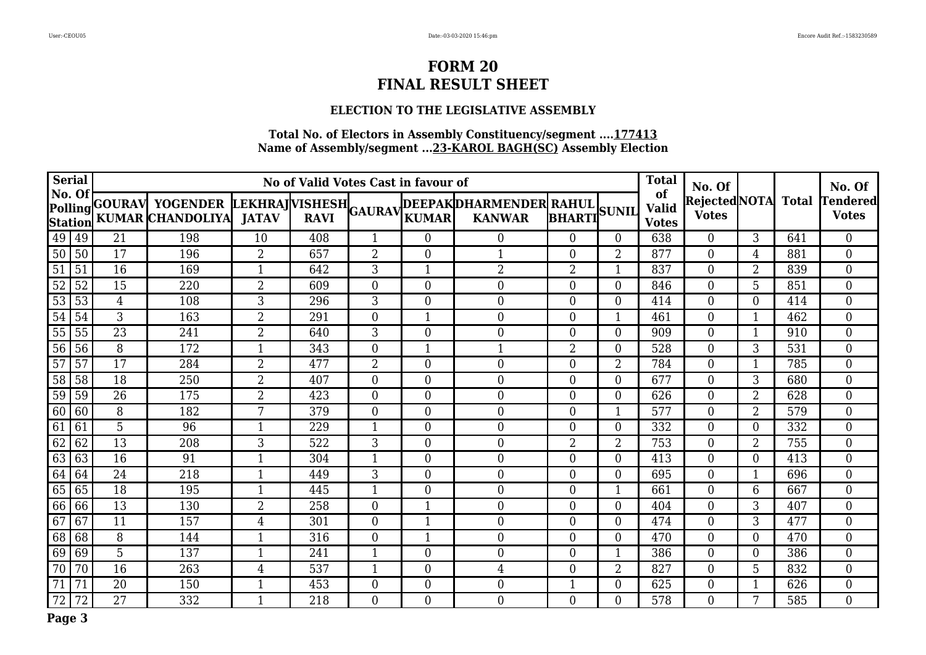#### **ELECTION TO THE LEGISLATIVE ASSEMBLY**

| <b>Serial</b> |    |                |                                                                            |                | No of Valid Votes Cast in favour of |                  |                  |                                          |                |                | <b>Total</b>                       | No. Of                              |                |              | No. Of                   |
|---------------|----|----------------|----------------------------------------------------------------------------|----------------|-------------------------------------|------------------|------------------|------------------------------------------|----------------|----------------|------------------------------------|-------------------------------------|----------------|--------------|--------------------------|
| No. Of        |    |                | Polling GOURAV YOGENDER LEKHRAJ VISHESH GAURAV<br>Station KUMAR CHANDOLIYA | <b>JATAV</b>   | <b>RAVI</b>                         |                  | <b>KUMAR</b>     | DEEPAKDHARMENDER RAHUL,<br><b>KANWAR</b> | BHARTISUNIL    |                | of<br><b>Valid</b><br><b>Votes</b> | <b>RejectedNOTA</b><br><b>Votes</b> |                | <b>Total</b> | Tendered<br><b>Votes</b> |
| 49            | 49 | 21             | 198                                                                        | 10             | 408                                 | 1                | $\Omega$         | $\Omega$                                 | 0              | $\Omega$       | 638                                | $\theta$                            | 3              | 641          | $\overline{0}$           |
| 50            | 50 | 17             | 196                                                                        | 2              | 657                                 | $\overline{2}$   | 0                | 1                                        | $\overline{0}$ | $\overline{2}$ | 877                                | $\boldsymbol{0}$                    | 4              | 881          | $\overline{0}$           |
| 51            | 51 | 16             | 169                                                                        | 1              | 642                                 | 3                | 1                | $\overline{2}$                           | 2              | 1              | 837                                | $\overline{0}$                      | $\overline{2}$ | 839          | $\overline{0}$           |
| 52            | 52 | 15             | 220                                                                        | $\overline{2}$ | 609                                 | $\overline{0}$   | $\boldsymbol{0}$ | $\mathbf{0}$                             | $\overline{0}$ | $\theta$       | 846                                | $\overline{0}$                      | 5              | 851          | $\boldsymbol{0}$         |
| 53            | 53 | $\overline{4}$ | 108                                                                        | 3              | 296                                 | 3                | $\overline{0}$   | $\boldsymbol{0}$                         | 0              | $\overline{0}$ | 414                                | $\theta$                            | $\Omega$       | 414          | $\overline{0}$           |
| 54            | 54 | 3              | 163                                                                        | 2              | 291                                 | $\boldsymbol{0}$ | 1                | $\mathbf{0}$                             | $\overline{0}$ | 1              | 461                                | $\boldsymbol{0}$                    | $\mathbf 1$    | 462          | $\boldsymbol{0}$         |
| 55            | 55 | 23             | 241                                                                        | $\overline{2}$ | 640                                 | 3                | $\overline{0}$   | $\mathbf{0}$                             | $\theta$       | $\theta$       | 909                                | $\overline{0}$                      |                | 910          | $\boldsymbol{0}$         |
| 56            | 56 | 8              | 172                                                                        | 1              | 343                                 | $\boldsymbol{0}$ | 1                | 1                                        | 2              | $\overline{0}$ | 528                                | $\boldsymbol{0}$                    | 3              | 531          | $\overline{0}$           |
| 57            | 57 | 17             | 284                                                                        | 2              | 477                                 | $\overline{2}$   | $\overline{0}$   | $\overline{0}$                           | 0              | $\overline{2}$ | 784                                | $\overline{0}$                      | -1             | 785          | $\overline{0}$           |
| 58            | 58 | 18             | 250                                                                        | $\overline{2}$ | 407                                 | $\overline{0}$   | $\boldsymbol{0}$ | $\overline{0}$                           | $\overline{0}$ | $\overline{0}$ | 677                                | $\overline{0}$                      | 3              | 680          | $\boldsymbol{0}$         |
| 59            | 59 | 26             | 175                                                                        | 2              | 423                                 | $\overline{0}$   | $\overline{0}$   | $\boldsymbol{0}$                         | $\overline{0}$ | $\overline{0}$ | 626                                | $\boldsymbol{0}$                    | $\overline{2}$ | 628          | $\overline{0}$           |
| 60            | 60 | 8              | 182                                                                        | 7              | 379                                 | $\overline{0}$   | $\overline{0}$   | $\overline{0}$                           | 0              | 1              | 577                                | $\overline{0}$                      | $\overline{2}$ | 579          | $\boldsymbol{0}$         |
| 61            | 61 | 5              | 96                                                                         | $\mathbf{1}$   | 229                                 | $\mathbf{1}$     | $\boldsymbol{0}$ | $\boldsymbol{0}$                         | $\overline{0}$ | $\overline{0}$ | 332                                | $\overline{0}$                      | $\theta$       | 332          | $\boldsymbol{0}$         |
| 62            | 62 | 13             | 208                                                                        | 3              | 522                                 | 3                | $\overline{0}$   | $\overline{0}$                           | 2              | $\overline{2}$ | 753                                | $\overline{0}$                      | $\overline{2}$ | 755          | $\overline{0}$           |
| 63            | 63 | 16             | 91                                                                         | 1              | 304                                 | $\mathbf{1}$     | $\boldsymbol{0}$ | $\mathbf{0}$                             | $\theta$       | $\theta$       | 413                                | $\mathbf{0}$                        | $\Omega$       | 413          | $\boldsymbol{0}$         |
| 64            | 64 | 24             | 218                                                                        | 1              | 449                                 | 3                | $\boldsymbol{0}$ | $\mathbf{0}$                             | $\theta$       | $\theta$       | 695                                | $\overline{0}$                      |                | 696          | $\boldsymbol{0}$         |
| 65            | 65 | 18             | 195                                                                        | -1             | 445                                 | $\mathbf{1}$     | $\overline{0}$   | $\mathbf{0}$                             | $\overline{0}$ | 1              | 661                                | $\boldsymbol{0}$                    | 6              | 667          | $\boldsymbol{0}$         |
| 66            | 66 | 13             | 130                                                                        | 2              | 258                                 | $\overline{0}$   | 1                | $\overline{0}$                           | $\Omega$       | $\Omega$       | 404                                | $\overline{0}$                      | 3              | 407          | $\boldsymbol{0}$         |
| 67            | 67 | 11             | 157                                                                        | 4              | 301                                 | $\overline{0}$   | 1                | $\mathbf{0}$                             | $\overline{0}$ | $\theta$       | 474                                | $\overline{0}$                      | 3              | 477          | $\boldsymbol{0}$         |
| 68            | 68 | 8              | 144                                                                        | 1              | 316                                 | $\overline{0}$   | 1                | $\overline{0}$                           | 0              | $\overline{0}$ | 470                                | $\overline{0}$                      | $\Omega$       | 470          | $\overline{0}$           |
| 69            | 69 | 5              | 137                                                                        |                | 241                                 | $\mathbf{1}$     | $\boldsymbol{0}$ | $\mathbf{0}$                             | $\theta$       | 1              | 386                                | $\boldsymbol{0}$                    | $\Omega$       | 386          | $\boldsymbol{0}$         |
| 70            | 70 | 16             | 263                                                                        | 4              | 537                                 | $\mathbf{1}$     | $\boldsymbol{0}$ | 4                                        | $\theta$       | $\overline{2}$ | 827                                | $\theta$                            | 5              | 832          | $\boldsymbol{0}$         |
| 71            | 71 | 20             | 150                                                                        |                | 453                                 | $\boldsymbol{0}$ | $\boldsymbol{0}$ | $\mathbf{0}$                             |                | $\overline{0}$ | 625                                | $\boldsymbol{0}$                    |                | 626          | $\boldsymbol{0}$         |
| 72            | 72 | 27             | 332                                                                        | 1              | 218                                 | $\overline{0}$   | $\overline{0}$   | $\overline{0}$                           | $\theta$       | $\Omega$       | 578                                | $\overline{0}$                      | 7              | 585          | $\overline{0}$           |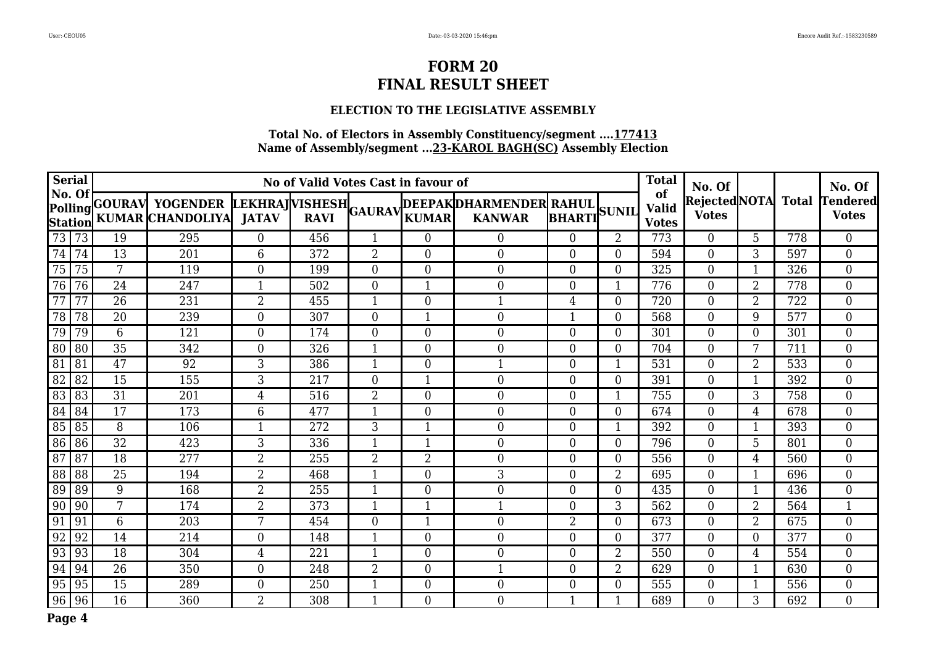#### **ELECTION TO THE LEGISLATIVE ASSEMBLY**

| <b>Serial</b> |                 |                                                                            |                  | No of Valid Votes Cast in favour of |                  |                  |                                          |                     |                | <b>Total</b>                       | No. Of                              |                |              | No. Of                    |
|---------------|-----------------|----------------------------------------------------------------------------|------------------|-------------------------------------|------------------|------------------|------------------------------------------|---------------------|----------------|------------------------------------|-------------------------------------|----------------|--------------|---------------------------|
| No. Of        |                 | Polling GOURAV YOGENDER LEKHRAJ VISHESH GAURAV<br>Station KUMAR CHANDOLIYA | <b>JATAV</b>     | <b>RAVI</b>                         |                  | <b>KUMAR</b>     | DEEPAK DHARMENDER RAHUL<br><b>KANWAR</b> | <b>BHARTI</b> SUNIL |                | of<br><b>Valid</b><br><b>Votes</b> | <b>RejectedNOTA</b><br><b>Votes</b> |                | <b>Total</b> | Tendered <br><b>Votes</b> |
| 73<br>73      | 19              | 295                                                                        | $\overline{0}$   | 456                                 | 1                | $\overline{0}$   | $\overline{0}$                           | $\Omega$            | 2              | 773                                | $\overline{0}$                      | 5              | 778          | $\overline{0}$            |
| 74<br>74      | 13              | 201                                                                        | 6                | 372                                 | $\overline{2}$   | $\overline{0}$   | $\boldsymbol{0}$                         | 0                   | $\overline{0}$ | 594                                | $\overline{0}$                      | 3              | 597          | $\overline{0}$            |
| 75<br>75      | 7               | 119                                                                        | $\overline{0}$   | 199                                 | $\boldsymbol{0}$ | $\overline{0}$   | $\mathbf{0}$                             | $\overline{0}$      | $\overline{0}$ | 325                                | $\boldsymbol{0}$                    | -1             | 326          | $\boldsymbol{0}$          |
| 76<br>76      | 24              | 247                                                                        | 1                | 502                                 | $\overline{0}$   | 1                | $\mathbf{0}$                             | $\overline{0}$      | 1              | 776                                | $\overline{0}$                      | $\overline{2}$ | 778          | $\boldsymbol{0}$          |
| 77<br>77      | 26              | 231                                                                        | $\overline{2}$   | 455                                 | 1                | $\overline{0}$   | -1                                       | 4                   | $\overline{0}$ | 720                                | $\overline{0}$                      | $\overline{2}$ | 722          | $\overline{0}$            |
| 78<br>78      | 20              | 239                                                                        | $\overline{0}$   | 307                                 | $\boldsymbol{0}$ |                  | $\mathbf{0}$                             |                     | $\overline{0}$ | 568                                | $\boldsymbol{0}$                    | 9              | 577          | $\boldsymbol{0}$          |
| 79<br>79      | 6               | 121                                                                        | $\overline{0}$   | 174                                 | $\overline{0}$   | $\boldsymbol{0}$ | $\mathbf{0}$                             | $\theta$            | $\overline{0}$ | 301                                | $\theta$                            | $\Omega$       | 301          | $\boldsymbol{0}$          |
| 80<br>80      | 35              | 342                                                                        | $\boldsymbol{0}$ | 326                                 | 1                | $\boldsymbol{0}$ | $\mathbf{0}$                             | $\overline{0}$      | $\overline{0}$ | 704                                | $\boldsymbol{0}$                    | 7              | 711          | $\boldsymbol{0}$          |
| 81<br>81      | 47              | 92                                                                         | 3                | 386                                 | 1                | $\Omega$         | $\mathbf{1}$                             | $\Omega$            | 1              | 531                                | $\overline{0}$                      | $\overline{2}$ | 533          | $\boldsymbol{0}$          |
| 82<br>82      | 15              | 155                                                                        | 3                | 217                                 | $\overline{0}$   | $\mathbf{1}$     | $\mathbf{0}$                             | $\overline{0}$      | $\theta$       | 391                                | $\overline{0}$                      |                | 392          | $\boldsymbol{0}$          |
| 83<br>83      | 31              | 201                                                                        | 4                | 516                                 | $\overline{2}$   | $\overline{0}$   | $\overline{0}$                           | $\overline{0}$      | 1              | 755                                | $\boldsymbol{0}$                    | 3              | 758          | $\boldsymbol{0}$          |
| 84<br>84      | 17              | 173                                                                        | 6                | 477                                 | 1                | $\Omega$         | $\overline{0}$                           | $\Omega$            | $\Omega$       | 674                                | $\overline{0}$                      | 4              | 678          | $\overline{0}$            |
| 85<br>85      | 8               | 106                                                                        | 1                | 272                                 | 3                | $\mathbf{1}$     | $\boldsymbol{0}$                         | $\overline{0}$      |                | 392                                | $\overline{0}$                      |                | 393          | $\boldsymbol{0}$          |
| 86<br>86      | $\overline{32}$ | 423                                                                        | 3                | 336                                 | 1                | 1                | $\overline{0}$                           | $\overline{0}$      | $\overline{0}$ | 796                                | $\boldsymbol{0}$                    | 5              | 801          | $\overline{0}$            |
| 87<br>87      | 18              | 277                                                                        | 2                | 255                                 | 2                | 2                | $\overline{0}$                           | 0                   | $\overline{0}$ | 556                                | $\overline{0}$                      | 4              | 560          | $\overline{0}$            |
| 88<br>88      | 25              | 194                                                                        | 2                | 468                                 | $\mathbf{1}$     | $\boldsymbol{0}$ | 3                                        | $\overline{0}$      | $\overline{2}$ | 695                                | $\mathbf{0}$                        |                | 696          | $\boldsymbol{0}$          |
| 89<br>89      | 9               | 168                                                                        | $\overline{2}$   | 255                                 | $\mathbf{1}$     | $\overline{0}$   | $\overline{0}$                           | $\Omega$            | $\overline{0}$ | 435                                | $\overline{0}$                      | $\mathbf 1$    | 436          | $\overline{0}$            |
| 90<br>90      | 7               | 174                                                                        | 2                | 373                                 | $\mathbf{1}$     |                  | 1                                        | $\Omega$            | 3              | 562                                | $\boldsymbol{0}$                    | $\overline{2}$ | 564          | $\mathbf{1}$              |
| 91<br>91      | 6               | 203                                                                        | 7                | 454                                 | $\overline{0}$   | 1                | $\mathbf{0}$                             | $\overline{2}$      | $\overline{0}$ | 673                                | $\overline{0}$                      | $\overline{2}$ | 675          | $\boldsymbol{0}$          |
| 92<br>92      | 14              | 214                                                                        | $\Omega$         | 148                                 | $\mathbf{1}$     | $\Omega$         | $\theta$                                 | $\Omega$            | $\Omega$       | 377                                | $\theta$                            | $\Omega$       | 377          | $\overline{0}$            |
| 93<br>93      | 18              | 304                                                                        | 4                | 221                                 | 1                | $\boldsymbol{0}$ | $\overline{0}$                           | $\overline{0}$      | $\overline{2}$ | 550                                | $\overline{0}$                      | 4              | 554          | $\boldsymbol{0}$          |
| 94<br>94      | 26              | 350                                                                        | $\boldsymbol{0}$ | 248                                 | $\overline{2}$   | $\overline{0}$   | $\overline{1}$                           | $\theta$            | $\overline{2}$ | 629                                | $\overline{0}$                      |                | 630          | $\boldsymbol{0}$          |
| 95<br>95      | 15              | 289                                                                        | $\overline{0}$   | 250                                 | $\mathbf{1}$     | $\overline{0}$   | $\overline{0}$                           | 0                   | $\overline{0}$ | 555                                | $\overline{0}$                      | $\mathbf 1$    | 556          | $\boldsymbol{0}$          |
| 96<br>96      | 16              | 360                                                                        | 2                | 308                                 | 1                | $\overline{0}$   | $\overline{0}$                           |                     |                | 689                                | $\overline{0}$                      | 3              | 692          | $\Omega$                  |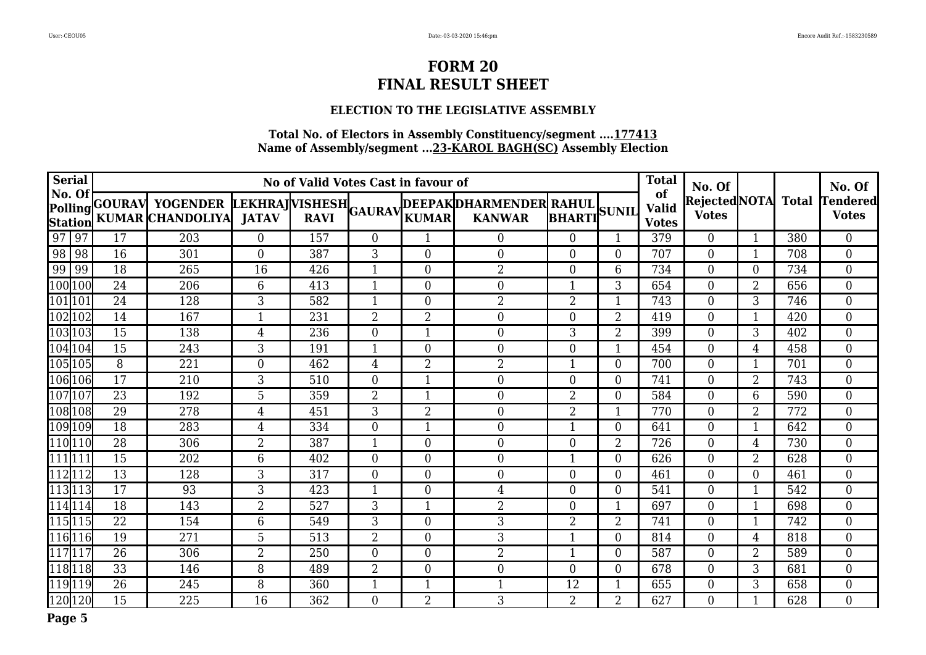#### **ELECTION TO THE LEGISLATIVE ASSEMBLY**

| Serial                   |    |    |                                                    |                                                  | No of Valid Votes Cast in favour of |                  |                  |                                          |                     |                | <b>Total</b>                       | No. Of                              |                |              | No. Of                   |
|--------------------------|----|----|----------------------------------------------------|--------------------------------------------------|-------------------------------------|------------------|------------------|------------------------------------------|---------------------|----------------|------------------------------------|-------------------------------------|----------------|--------------|--------------------------|
| No. Of<br><b>Station</b> |    |    | Polling GOURAV YOGENDER<br><b>KUMAR CHANDOLIYA</b> | LEKHRAJVISHESH <sub>GAURAV</sub><br><b>JATAV</b> | <b>RAVI</b>                         |                  | <b>KUMAR</b>     | DEEPAKDHARMENDER RAHUL,<br><b>KANWAR</b> | <b>BHARTI</b> SUNIL |                | of<br><b>Valid</b><br><b>Votes</b> | <b>RejectedNOTA</b><br><b>Votes</b> |                | <b>Total</b> | Tendered<br><b>Votes</b> |
| $\boxed{97}$             | 97 | 17 | 203                                                | $\overline{0}$                                   | 157                                 | $\theta$         | 1                | $\overline{0}$                           | $\overline{0}$      | 1              | 379                                | $\overline{0}$                      | 1              | 380          | $\overline{0}$           |
| $\boxed{98}$             | 98 | 16 | 301                                                | $\overline{0}$                                   | 387                                 | 3                | 0                | $\overline{0}$                           | $\overline{0}$      | $\overline{0}$ | 707                                | $\overline{0}$                      |                | 708          | $\overline{0}$           |
| $\boxed{99}$             | 99 | 18 | 265                                                | 16                                               | 426                                 | $\mathbf{1}$     | $\boldsymbol{0}$ | $\overline{2}$                           | $\overline{0}$      | 6              | 734                                | $\boldsymbol{0}$                    | $\Omega$       | 734          | $\boldsymbol{0}$         |
| 100 100                  |    | 24 | 206                                                | 6                                                | 413                                 | $\mathbf{1}$     | $\boldsymbol{0}$ | $\boldsymbol{0}$                         | 1                   | 3              | 654                                | $\overline{0}$                      | $\overline{2}$ | 656          | $\overline{0}$           |
| $\sqrt{101}101$          |    | 24 | 128                                                | 3                                                | 582                                 | 1                | $\boldsymbol{0}$ | $\overline{2}$                           | 2                   | -1             | 743                                | $\overline{0}$                      | 3              | 746          | $\overline{0}$           |
| 102102                   |    | 14 | 167                                                |                                                  | 231                                 | $\overline{2}$   | 2                | $\mathbf{0}$                             | $\overline{0}$      | $\overline{2}$ | 419                                | $\boldsymbol{0}$                    | 1              | 420          | $\boldsymbol{0}$         |
| 103 103                  |    | 15 | 138                                                | 4                                                | 236                                 | $\theta$         | $\mathbf 1$      | $\boldsymbol{0}$                         | 3                   | $\overline{2}$ | 399                                | $\theta$                            | 3              | 402          | $\overline{0}$           |
| 104104                   |    | 15 | 243                                                | 3                                                | 191                                 | 1                | $\boldsymbol{0}$ | $\mathbf{0}$                             | $\boldsymbol{0}$    | $\mathbf{1}$   | 454                                | $\mathbf{0}$                        | 4              | 458          | $\boldsymbol{0}$         |
| 105 105                  |    | 8  | 221                                                | $\overline{0}$                                   | 462                                 | 4                | $\overline{2}$   | $\overline{2}$                           |                     | $\Omega$       | 700                                | $\overline{0}$                      | 1              | 701          | $\boldsymbol{0}$         |
| 106 106                  |    | 17 | 210                                                | 3                                                | 510                                 | $\overline{0}$   | 1                | $\boldsymbol{0}$                         | $\overline{0}$      | $\overline{0}$ | 741                                | $\overline{0}$                      | $\overline{2}$ | 743          | $\boldsymbol{0}$         |
| $\overline{107}$ 107     |    | 23 | 192                                                | 5                                                | 359                                 | 2                | 1                | $\boldsymbol{0}$                         | $\overline{2}$      | $\overline{0}$ | 584                                | $\mathbf{0}$                        | 6              | 590          | $\overline{0}$           |
| 108 108                  |    | 29 | 278                                                | 4                                                | 451                                 | 3                | $\overline{2}$   | $\mathbf{0}$                             | $\overline{2}$      | 1              | 770                                | 0                                   | $\overline{2}$ | 772          | $\boldsymbol{0}$         |
| 109 109                  |    | 18 | 283                                                | 4                                                | 334                                 | $\overline{0}$   | $\mathbf{1}$     | $\boldsymbol{0}$                         |                     | $\overline{0}$ | 641                                | $\overline{0}$                      |                | 642          | $\boldsymbol{0}$         |
| 110 110                  |    | 28 | 306                                                | $\overline{2}$                                   | 387                                 | 1                | $\boldsymbol{0}$ | $\boldsymbol{0}$                         | $\overline{0}$      | $\overline{2}$ | 726                                | $\overline{0}$                      | 4              | 730          | $\overline{0}$           |
| $\sqrt{111111}$          |    | 15 | 202                                                | 6                                                | 402                                 | $\overline{0}$   | $\boldsymbol{0}$ | $\overline{0}$                           |                     | $\overline{0}$ | 626                                | $\overline{0}$                      | $\overline{2}$ | 628          | $\overline{0}$           |
| $\sqrt{112}112$          |    | 13 | 128                                                | 3                                                | 317                                 | $\boldsymbol{0}$ | $\boldsymbol{0}$ | $\boldsymbol{0}$                         | $\boldsymbol{0}$    | $\overline{0}$ | 461                                | $\overline{0}$                      | $\Omega$       | 461          | $\boldsymbol{0}$         |
| 113 113                  |    | 17 | 93                                                 | 3                                                | 423                                 | 1                | $\overline{0}$   | $\overline{4}$                           | $\overline{0}$      | $\overline{0}$ | 541                                | $\overline{0}$                      | 1              | 542          | $\overline{0}$           |
| $\sqrt{114}114$          |    | 18 | 143                                                | $\overline{2}$                                   | 527                                 | 3                |                  | $\overline{2}$                           | $\overline{0}$      | $\mathbf 1$    | 697                                | $\boldsymbol{0}$                    |                | 698          | $\boldsymbol{0}$         |
| $\sqrt{115}115$          |    | 22 | 154                                                | $\,6\,$                                          | 549                                 | 3                | $\boldsymbol{0}$ | 3                                        | 2                   | $\overline{2}$ | 741                                | $\overline{0}$                      |                | 742          | $\boldsymbol{0}$         |
| 116 116                  |    | 19 | 271                                                | 5                                                | 513                                 | $\overline{2}$   | $\overline{0}$   | 3                                        | 1                   | $\overline{0}$ | 814                                | $\theta$                            | 4              | 818          | $\overline{0}$           |
| 117 117                  |    | 26 | 306                                                | $\overline{2}$                                   | 250                                 | $\overline{0}$   | $\boldsymbol{0}$ | $\overline{2}$                           |                     | $\overline{0}$ | 587                                | $\overline{0}$                      | $\overline{2}$ | 589          | $\overline{0}$           |
| 118 18                   |    | 33 | 146                                                | 8                                                | 489                                 | 2                | $\boldsymbol{0}$ | $\boldsymbol{0}$                         | $\boldsymbol{0}$    | $\overline{0}$ | 678                                | $\overline{0}$                      | 3              | 681          | $\overline{0}$           |
| $\sqrt{119}119$          |    | 26 | 245                                                | 8                                                | 360                                 | $\mathbf{1}$     | 1                | $\mathbf{1}$                             | 12                  | $\mathbf{1}$   | 655                                | $\overline{0}$                      | 3              | 658          | $\overline{0}$           |
| 120 120                  |    | 15 | 225                                                | 16                                               | 362                                 | $\overline{0}$   | 2                | 3                                        | $\overline{2}$      | $\overline{2}$ | 627                                | $\overline{0}$                      |                | 628          | $\overline{0}$           |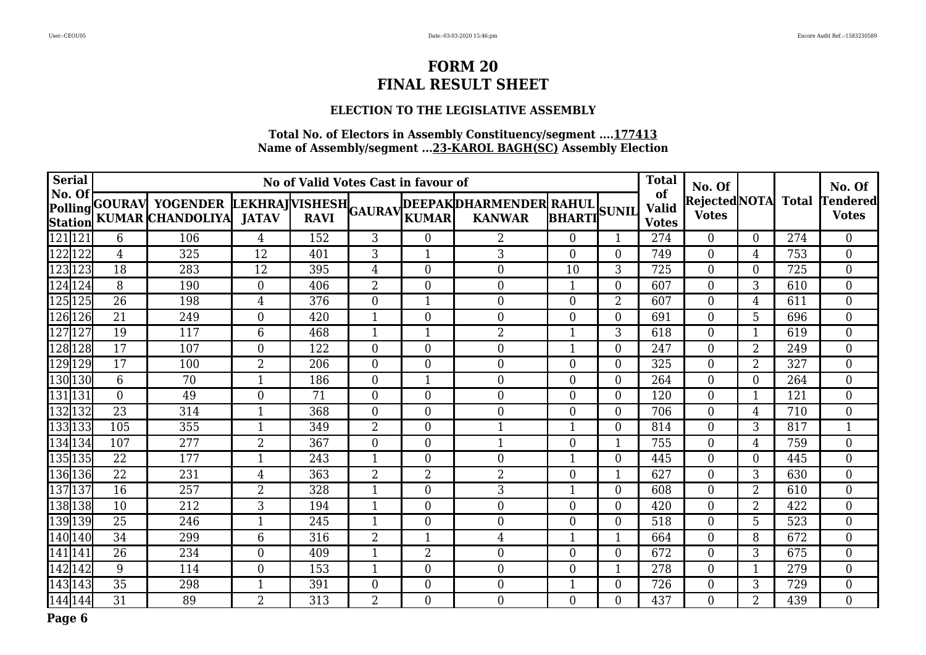### **ELECTION TO THE LEGISLATIVE ASSEMBLY**

| <b>Serial</b>      |     |                  |                                                     |                | No of Valid Votes Cast in favour of  |                  |                  |                                         |                |                  | <b>Total</b>                       | No. Of                       |                |              | No. Of                    |
|--------------------|-----|------------------|-----------------------------------------------------|----------------|--------------------------------------|------------------|------------------|-----------------------------------------|----------------|------------------|------------------------------------|------------------------------|----------------|--------------|---------------------------|
| No. Of             |     |                  | Polling GOURAV YOGENDER<br>Station KUMAR CHANDOLIYA | <b>JATAV</b>   | LEKHRAJVISHESH GAURAV<br><b>RAVI</b> |                  | <b>KUMAR</b>     | DEEPAKDHARMENDER RAHUL<br><b>KANWAR</b> | BHARTISUNIL    |                  | of<br><b>Valid</b><br><b>Votes</b> | RejectedNOTA<br><b>Votes</b> |                | <b>Total</b> | Tendered <br><b>Votes</b> |
| 121 121            |     | 6                | 106                                                 | 4              | 152                                  | 3                | 0                | $\overline{2}$                          | $\overline{0}$ | 1                | 274                                | $\theta$                     | $\theta$       | 274          | $\boldsymbol{0}$          |
| 122 122            |     | $\overline{4}$   | 325                                                 | 12             | 401                                  | 3                | 1                | 3                                       | $\overline{0}$ | $\boldsymbol{0}$ | 749                                | $\boldsymbol{0}$             | 4              | 753          | $\overline{0}$            |
| 123 123            |     | 18               | 283                                                 | 12             | 395                                  | 4                | $\overline{0}$   | $\overline{0}$                          | 10             | 3                | 725                                | $\overline{0}$               | $\Omega$       | 725          | $\boldsymbol{0}$          |
| 124 124            |     | 8                | 190                                                 | $\overline{0}$ | 406                                  | 2                | $\boldsymbol{0}$ | $\boldsymbol{0}$                        | 1              | $\overline{0}$   | 607                                | $\theta$                     | 3              | 610          | $\overline{0}$            |
| $\sqrt{125}$  125  |     | 26               | 198                                                 | 4              | 376                                  | $\overline{0}$   | 1                | $\overline{0}$                          | $\overline{0}$ | 2                | 607                                | $\overline{0}$               | 4              | 611          | $\overline{0}$            |
| 126126             |     | 21               | 249                                                 | $\Omega$       | 420                                  | $\mathbf{1}$     | $\overline{0}$   | $\overline{0}$                          | $\overline{0}$ | $\overline{0}$   | 691                                | $\overline{0}$               | 5              | 696          | $\overline{0}$            |
| 127127             |     | 19               | 117                                                 | 6              | 468                                  | $\mathbf{1}$     | 1                | $\overline{2}$                          | 1              | 3                | 618                                | $\overline{0}$               |                | 619          | $\overline{0}$            |
| 128 128            |     | 17               | 107                                                 | $\overline{0}$ | 122                                  | $\boldsymbol{0}$ | $\boldsymbol{0}$ | $\overline{0}$                          | 1              | $\boldsymbol{0}$ | 247                                | $\overline{0}$               | $\overline{2}$ | 249          | $\boldsymbol{0}$          |
| 129 129            |     | 17               | 100                                                 | $\overline{2}$ | 206                                  | $\overline{0}$   | $\overline{0}$   | $\overline{0}$                          | $\overline{0}$ | $\overline{0}$   | 325                                | $\overline{0}$               | $\overline{2}$ | 327          | $\overline{0}$            |
| 130 130            |     | 6                | 70                                                  | $\mathbf{1}$   | 186                                  | $\boldsymbol{0}$ | 1                | $\boldsymbol{0}$                        | $\overline{0}$ | $\overline{0}$   | 264                                | $\theta$                     | $\theta$       | 264          | $\overline{0}$            |
| 131131             |     | $\boldsymbol{0}$ | 49                                                  | $\overline{0}$ | 71                                   | $\overline{0}$   | $\overline{0}$   | $\overline{0}$                          | $\overline{0}$ | $\overline{0}$   | 120                                | $\overline{0}$               |                | 121          | $\overline{0}$            |
| 132132             |     | 23               | 314                                                 |                | 368                                  | $\overline{0}$   | $\overline{0}$   | $\overline{0}$                          | $\theta$       | $\theta$         | 706                                | $\overline{0}$               | 4              | 710          | $\boldsymbol{0}$          |
| 133 133            |     | 105              | 355                                                 |                | 349                                  | $\overline{2}$   | $\boldsymbol{0}$ | $\mathbf{1}$                            | 1              | $\overline{0}$   | 814                                | $\overline{0}$               | 3              | 817          | $\mathbf{1}$              |
| 134 134            |     | 107              | 277                                                 | 2              | 367                                  | $\overline{0}$   | $\overline{0}$   | $\mathbf 1$                             | $\overline{0}$ |                  | 755                                | $\overline{0}$               | 4              | 759          | $\overline{0}$            |
| 135 135            |     | 22               | 177                                                 |                | 243                                  | $\mathbf{1}$     | $\boldsymbol{0}$ | $\mathbf{0}$                            | 1              | $\Omega$         | 445                                | $\overline{0}$               | $\overline{0}$ | 445          | $\overline{0}$            |
| 136 136            |     | 22               | 231                                                 | 4              | 363                                  | $\overline{2}$   | 2                | $\overline{2}$                          | $\overline{0}$ | $\mathbf 1$      | 627                                | $\theta$                     | 3              | 630          | $\overline{0}$            |
| 137137             |     | 16               | 257                                                 | 2              | 328                                  | 1                | $\boldsymbol{0}$ | 3                                       | 1              | $\boldsymbol{0}$ | 608                                | $\overline{0}$               | 2              | 610          | $\overline{0}$            |
| 138 138            |     | 10               | 212                                                 | 3              | 194                                  | 1                | $\overline{0}$   | $\theta$                                | $\Omega$       | $\Omega$         | 420                                | $\overline{0}$               | $\overline{2}$ | 422          | $\boldsymbol{0}$          |
| 139 139            |     | 25               | 246                                                 | 1              | 245                                  | $\mathbf{1}$     | $\boldsymbol{0}$ | $\boldsymbol{0}$                        | $\overline{0}$ | $\overline{0}$   | 518                                | $\theta$                     | 5              | 523          | $\overline{0}$            |
| $\sqrt{140}$ $140$ |     | 34               | 299                                                 | 6              | 316                                  | 2                | 1                | 4                                       | 1              |                  | 664                                | $\overline{0}$               | 8              | 672          | $\overline{0}$            |
| $\overline{141}$   | 141 | 26               | 234                                                 | $\overline{0}$ | 409                                  | $\mathbf{1}$     | $\overline{2}$   | $\boldsymbol{0}$                        | $\overline{0}$ | $\overline{0}$   | 672                                | $\overline{0}$               | 3              | 675          | $\overline{0}$            |
| 142 142            |     | 9                | 114                                                 | $\overline{0}$ | 153                                  | $\mathbf{1}$     | $\boldsymbol{0}$ | $\boldsymbol{0}$                        | $\overline{0}$ | $\mathbf 1$      | 278                                | $\theta$                     |                | 279          | $\overline{0}$            |
| 143143             |     | 35               | 298                                                 |                | 391                                  | $\boldsymbol{0}$ | $\boldsymbol{0}$ | $\mathbf{0}$                            | 1              | $\boldsymbol{0}$ | 726                                | $\overline{0}$               | 3              | 729          | $\overline{0}$            |
| 144 144            |     | 31               | 89                                                  | $\overline{2}$ | 313                                  | 2                | $\overline{0}$   | $\theta$                                | $\Omega$       | $\Omega$         | 437                                | $\overline{0}$               | $\overline{2}$ | 439          | $\overline{0}$            |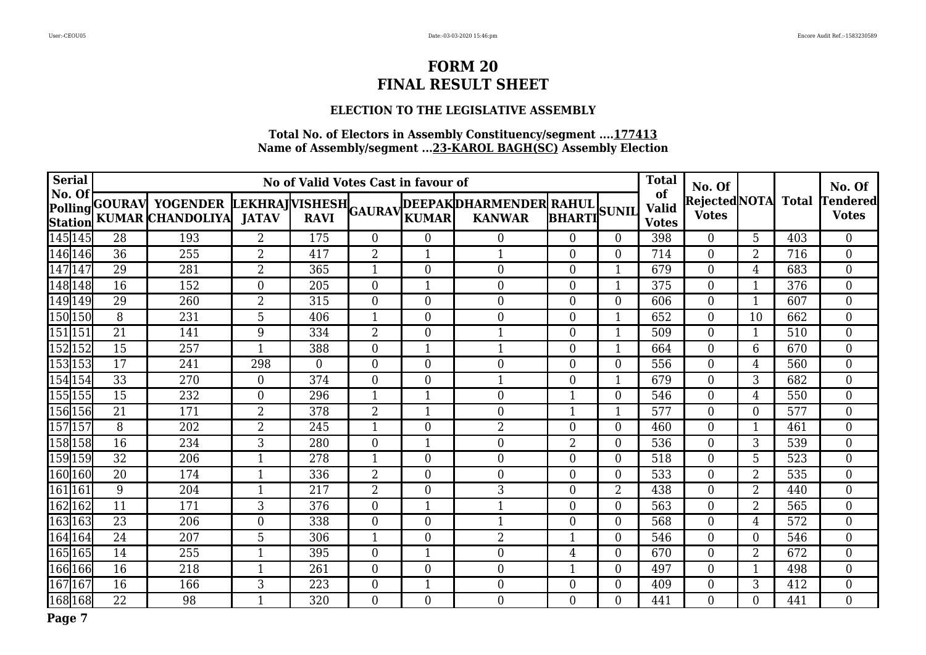### **ELECTION TO THE LEGISLATIVE ASSEMBLY**

| Serial           |    |                                                     |                                       | No of Valid Votes Cast in favour of |                  |                  |                                           |                     |                | <b>Total</b>                       | No. Of                         |                |              | No. Of                          |
|------------------|----|-----------------------------------------------------|---------------------------------------|-------------------------------------|------------------|------------------|-------------------------------------------|---------------------|----------------|------------------------------------|--------------------------------|----------------|--------------|---------------------------------|
| No. Of           |    | Polling GOURAV YOGENDER<br>Station KUMAR CHANDOLIYA | LEKHRAJVISHESH GAURAV<br><b>JATAV</b> | <b>RAVI</b>                         |                  | <b>KUMAR</b>     | DEEPAKDHARMENDER  RAHUL,<br><b>KANWAR</b> | <b>BHARTI</b> SUNIL |                | of<br><b>Valid</b><br><b>Votes</b> | Rejected NOTA <br><b>Votes</b> |                | <b>Total</b> | <b>Tendered</b><br><b>Votes</b> |
| 145 145          | 28 | 193                                                 | $\overline{2}$                        | 175                                 | $\Omega$         | $\overline{0}$   | $\overline{0}$                            | $\Omega$            | $\Omega$       | 398                                | $\theta$                       | 5              | 403          | $\overline{0}$                  |
| 146 146          | 36 | 255                                                 | 2                                     | 417                                 | $\overline{2}$   |                  | $\mathbf 1$                               | $\overline{0}$      | $\overline{0}$ | 714                                | $\mathbf{0}$                   | $\overline{2}$ | 716          | $\overline{0}$                  |
| $\sqrt{147}147$  | 29 | 281                                                 | 2                                     | 365                                 | $\mathbf{1}$     | $\boldsymbol{0}$ | $\boldsymbol{0}$                          | $\overline{0}$      | 1              | 679                                | $\mathbf{0}$                   | 4              | 683          | $\overline{0}$                  |
| 148 148          | 16 | 152                                                 | 0                                     | 205                                 | $\overline{0}$   | 1                | $\mathbf{0}$                              | $\overline{0}$      | $\mathbf 1$    | 375                                | $\overline{0}$                 |                | 376          | $\boldsymbol{0}$                |
| $\sqrt{149}149$  | 29 | 260                                                 | 2                                     | 315                                 | $\overline{0}$   | 0                | $\overline{0}$                            | $\overline{0}$      | $\overline{0}$ | 606                                | $\overline{0}$                 |                | 607          | $\overline{0}$                  |
| 150 150          | 8  | 231                                                 | 5                                     | 406                                 | $\mathbf{1}$     | $\boldsymbol{0}$ | $\boldsymbol{0}$                          | $\boldsymbol{0}$    | 1              | 652                                | $\boldsymbol{0}$               | 10             | 662          | $\boldsymbol{0}$                |
| 151 151          | 21 | 141                                                 | 9                                     | 334                                 | $\overline{2}$   | $\boldsymbol{0}$ | 1                                         | $\overline{0}$      |                | 509                                | $\overline{0}$                 |                | 510          | $\boldsymbol{0}$                |
| $\sqrt{152}$ 152 | 15 | 257                                                 |                                       | 388                                 | $\boldsymbol{0}$ |                  | $\mathbf 1$                               | $\overline{0}$      |                | 664                                | $\boldsymbol{0}$               | 6              | 670          | $\overline{0}$                  |
| 153 153          | 17 | 241                                                 | 298                                   | $\Omega$                            | $\overline{0}$   | $\boldsymbol{0}$ | $\boldsymbol{0}$                          | $\overline{0}$      | $\overline{0}$ | 556                                | $\boldsymbol{0}$               | $\overline{4}$ | 560          | $\overline{0}$                  |
| 154 154          | 33 | 270                                                 | 0                                     | 374                                 | $\overline{0}$   | $\boldsymbol{0}$ | 1                                         | $\overline{0}$      | $\mathbf 1$    | 679                                | $\overline{0}$                 | 3              | 682          | $\boldsymbol{0}$                |
| 155155           | 15 | 232                                                 | $\overline{0}$                        | 296                                 | 1                |                  | $\boldsymbol{0}$                          |                     | $\overline{0}$ | 546                                | $\overline{0}$                 | 4              | 550          | $\overline{0}$                  |
| 156 156          | 21 | 171                                                 | 2                                     | 378                                 | $\overline{2}$   | 1                | $\boldsymbol{0}$                          | $\mathbf 1$         | 1              | 577                                | $\overline{0}$                 | $\Omega$       | 577          | $\boldsymbol{0}$                |
| 157 157          | 8  | 202                                                 | $\overline{2}$                        | 245                                 | $\mathbf{1}$     | $\boldsymbol{0}$ | $\overline{2}$                            | $\overline{0}$      | $\theta$       | 460                                | $\overline{0}$                 |                | 461          | $\boldsymbol{0}$                |
| 158158           | 16 | 234                                                 | 3                                     | 280                                 | $\overline{0}$   |                  | $\mathbf{0}$                              | 2                   | $\overline{0}$ | 536                                | $\overline{0}$                 | 3              | 539          | $\overline{0}$                  |
| 159 159          | 32 | 206                                                 | 1                                     | 278                                 | $\mathbf{1}$     | $\boldsymbol{0}$ | $\boldsymbol{0}$                          | $\overline{0}$      | $\overline{0}$ | 518                                | $\boldsymbol{0}$               | 5              | 523          | $\boldsymbol{0}$                |
| 160 160          | 20 | 174                                                 | 1                                     | 336                                 | $\overline{2}$   | $\boldsymbol{0}$ | $\boldsymbol{0}$                          | $\overline{0}$      | $\theta$       | 533                                | $\overline{0}$                 | $\overline{2}$ | 535          | $\boldsymbol{0}$                |
| 161 161          | 9  | 204                                                 |                                       | 217                                 | $\overline{2}$   | $\boldsymbol{0}$ | 3                                         | $\boldsymbol{0}$    | $\overline{2}$ | 438                                | $\boldsymbol{0}$               | $\overline{2}$ | 440          | $\overline{0}$                  |
| $\sqrt{162}$ 162 | 11 | 171                                                 | 3                                     | 376                                 | $\overline{0}$   | 1                | $\mathbf 1$                               | $\overline{0}$      | $\Omega$       | 563                                | $\overline{0}$                 | $\overline{2}$ | 565          | $\boldsymbol{0}$                |
| 163 163          | 23 | 206                                                 | $\overline{0}$                        | 338                                 | $\overline{0}$   | $\boldsymbol{0}$ | $\mathbf{1}$                              | $\overline{0}$      | $\overline{0}$ | 568                                | $\overline{0}$                 | 4              | 572          | $\boldsymbol{0}$                |
| 164 164          | 24 | 207                                                 | 5                                     | 306                                 | 1                | $\overline{0}$   | $\overline{2}$                            |                     | $\overline{0}$ | 546                                | $\overline{0}$                 | $\Omega$       | 546          | $\overline{0}$                  |
| 165 165          | 14 | 255                                                 |                                       | 395                                 | $\boldsymbol{0}$ | 1                | $\boldsymbol{0}$                          | 4                   | $\overline{0}$ | 670                                | $\boldsymbol{0}$               | $\overline{2}$ | 672          | $\boldsymbol{0}$                |
| 166 166          | 16 | 218                                                 | 1                                     | 261                                 | $\theta$         | $\boldsymbol{0}$ | $\mathbf{0}$                              | $\mathbf{1}$        | $\theta$       | 497                                | $\overline{0}$                 |                | 498          | $\boldsymbol{0}$                |
| 167167           | 16 | 166                                                 | 3                                     | 223                                 | $\boldsymbol{0}$ |                  | $\boldsymbol{0}$                          | $\boldsymbol{0}$    | $\overline{0}$ | 409                                | $\boldsymbol{0}$               | 3              | 412          | $\boldsymbol{0}$                |
| 168 168          | 22 | 98                                                  |                                       | 320                                 | $\overline{0}$   | $\boldsymbol{0}$ | $\overline{0}$                            | $\overline{0}$      | $\Omega$       | 441                                | $\theta$                       | $\Omega$       | 441          | $\overline{0}$                  |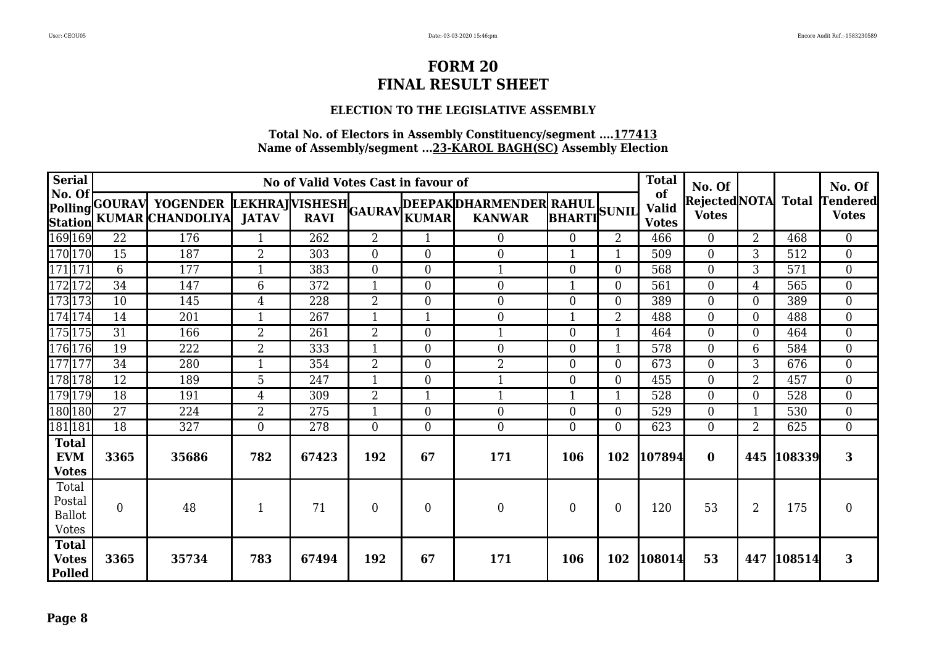### **ELECTION TO THE LEGISLATIVE ASSEMBLY**

|            | <b>Serial</b>                                 |                 |       |                | No of Valid Votes Cast in favour of |                  |                  |                                                                                                                |                |                  | <b>Total</b>                       | No. Of                        |                |              | No. Of                          |
|------------|-----------------------------------------------|-----------------|-------|----------------|-------------------------------------|------------------|------------------|----------------------------------------------------------------------------------------------------------------|----------------|------------------|------------------------------------|-------------------------------|----------------|--------------|---------------------------------|
| No. Of     |                                               |                 |       |                |                                     |                  |                  | Polling GOURAV YOGENDER LEKHRAJ VISHESH GAURAV DEEPAK DHARMENDER RAHUL SUNIL SUNIL SUNIL SUNIL SUNIL TERRATION |                |                  | of<br><b>Valid</b><br><b>Votes</b> | Rejected NOTA<br><b>Votes</b> |                | <b>Total</b> | <b>Tendered</b><br><b>Votes</b> |
|            | 169 169                                       | 22              | 176   | 1              | 262                                 | $\overline{2}$   | 1                | $\overline{0}$                                                                                                 | $\Omega$       | 2                | 466                                | $\overline{0}$                | $\overline{2}$ | 468          | $\overline{0}$                  |
|            | 170 170                                       | 15              | 187   | 2              | 303                                 | $\boldsymbol{0}$ | $\overline{0}$   | $\boldsymbol{0}$                                                                                               |                |                  | 509                                | $\boldsymbol{0}$              | 3              | 512          | $\overline{0}$                  |
| 171171     |                                               | 6               | 177   | 1              | 383                                 | $\overline{0}$   | $\overline{0}$   | $\mathbf{1}$                                                                                                   | $\theta$       | $\overline{0}$   | 568                                | $\overline{0}$                | 3              | 571          | $\overline{0}$                  |
|            | 172 172                                       | $\overline{34}$ | 147   | 6              | 372                                 | 1                | $\overline{0}$   | $\boldsymbol{0}$                                                                                               |                | $\overline{0}$   | 561                                | $\boldsymbol{0}$              | 4              | 565          | $\boldsymbol{0}$                |
|            | 173173                                        | 10              | 145   | 4              | 228                                 | $\overline{2}$   | $\boldsymbol{0}$ | $\mathbf{0}$                                                                                                   | $\theta$       | $\boldsymbol{0}$ | 389                                | $\overline{0}$                | $\overline{0}$ | 389          | $\boldsymbol{0}$                |
|            | 174174                                        | 14              | 201   | 1              | 267                                 | $\mathbf{1}$     | 1                | $\mathbf{0}$                                                                                                   |                | $\overline{2}$   | 488                                | $\overline{0}$                | $\overline{0}$ | 488          | $\boldsymbol{0}$                |
|            | 175 175                                       | 31              | 166   | $\overline{2}$ | 261                                 | $\overline{2}$   | $\overline{0}$   | $\mathbf{1}$                                                                                                   | $\theta$       | $\mathbf{1}$     | 464                                | $\theta$                      | $\theta$       | 464          | $\overline{0}$                  |
|            | 176 176                                       | 19              | 222   | $\overline{2}$ | 333                                 | $\mathbf{1}$     | $\overline{0}$   | $\overline{0}$                                                                                                 | $\Omega$       | 1                | 578                                | $\overline{0}$                | 6              | 584          | $\boldsymbol{0}$                |
|            | 177177                                        | 34              | 280   |                | 354                                 | $\overline{2}$   | $\overline{0}$   | $\overline{2}$                                                                                                 | $\overline{0}$ | $\overline{0}$   | 673                                | $\overline{0}$                | 3              | 676          | $\boldsymbol{0}$                |
|            | 178178                                        | 12              | 189   | 5              | 247                                 | 1                | $\boldsymbol{0}$ | 1                                                                                                              | $\Omega$       | $\overline{0}$   | 455                                | $\overline{0}$                | $\overline{2}$ | 457          | $\boldsymbol{0}$                |
|            | 179179                                        | 18              | 191   | $\overline{4}$ | 309                                 | $\overline{2}$   | $\mathbf{1}$     | $\mathbf{1}$                                                                                                   |                | 1                | 528                                | $\overline{0}$                | $\overline{0}$ | 528          | $\boldsymbol{0}$                |
|            | 180 180                                       | 27              | 224   | 2              | 275                                 | $\mathbf{1}$     | $\boldsymbol{0}$ | $\mathbf{0}$                                                                                                   | $\overline{0}$ | $\boldsymbol{0}$ | 529                                | $\boldsymbol{0}$              |                | 530          | $\overline{0}$                  |
|            | 181181                                        | 18              | 327   | $\Omega$       | 278                                 | $\theta$         | $\overline{0}$   | $\overline{0}$                                                                                                 | $\Omega$       | $\overline{0}$   | 623                                | $\theta$                      | 2              | 625          | $\boldsymbol{0}$                |
| <b>EVM</b> | <b>Total</b><br><b>Votes</b>                  | 3365            | 35686 | 782            | 67423                               | 192              | 67               | 171                                                                                                            | 106            | 102              | 107894                             | $\bf{0}$                      |                | 445 108339   | 3                               |
| Total      | Postal<br>Ballot<br><b>Votes</b>              | $\overline{0}$  | 48    |                | 71                                  | $\overline{0}$   | 0                | $\boldsymbol{0}$                                                                                               | $\overline{0}$ | $\overline{0}$   | 120                                | 53                            | 2              | 175          | $\overline{0}$                  |
|            | <b>Total</b><br><b>Votes</b><br><b>Polled</b> | 3365            | 35734 | 783            | 67494                               | 192              | 67               | 171                                                                                                            | 106            | 102              | 108014                             | 53                            |                | 447 108514   | 3                               |